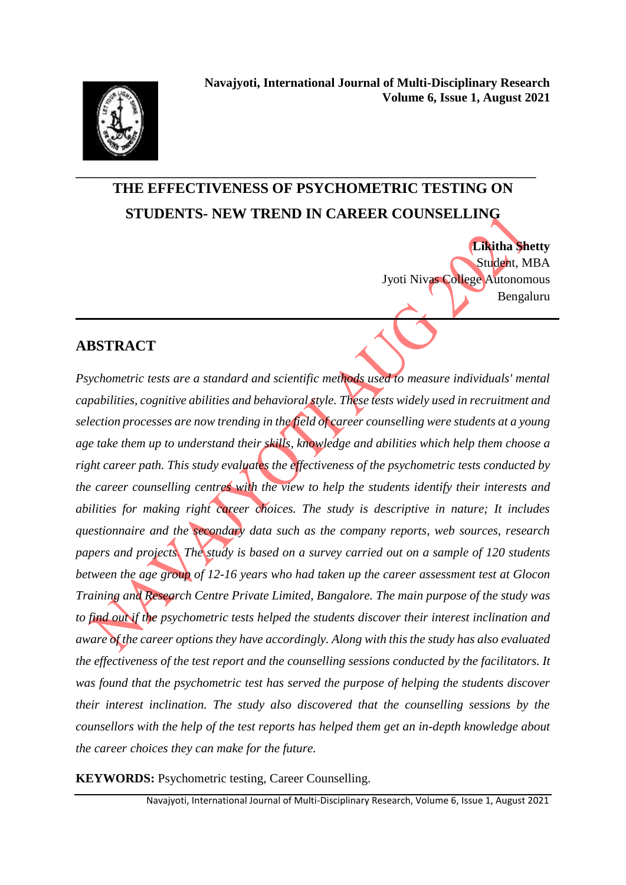

## **\_\_\_\_\_\_\_\_\_\_\_\_\_\_\_\_\_\_\_\_\_\_\_\_\_\_\_\_\_\_\_\_\_\_\_\_\_\_\_\_\_\_\_\_\_\_\_\_\_\_\_\_\_\_\_\_\_\_\_\_\_\_\_\_\_\_\_\_\_\_\_\_\_ THE EFFECTIVENESS OF PSYCHOMETRIC TESTING ON STUDENTS- NEW TREND IN CAREER COUNSELLING**

**Likitha Shetty** Student, MBA Jyoti Nivas College Autonomous Bengaluru **\_\_\_\_\_\_\_\_\_\_\_\_\_\_\_\_\_\_\_\_\_\_\_\_\_\_\_\_\_\_\_\_\_\_\_\_\_\_\_\_\_\_\_\_\_\_\_\_\_\_\_\_\_\_\_\_\_\_\_\_\_\_\_\_\_\_\_\_\_\_\_\_\_\_\_\_\_**

## **ABSTRACT**

*Psychometric tests are a standard and scientific methods used to measure individuals' mental capabilities, cognitive abilities and behavioral style. These tests widely used in recruitment and selection processes are now trending in the field of career counselling were students at a young age take them up to understand their skills, knowledge and abilities which help them choose a right career path. This study evaluates the effectiveness of the psychometric tests conducted by the career counselling centres with the view to help the students identify their interests and abilities for making right career choices. The study is descriptive in nature; It includes questionnaire and the secondary data such as the company reports, web sources, research papers and projects. The study is based on a survey carried out on a sample of 120 students between the age group of 12-16 years who had taken up the career assessment test at Glocon Training and Research Centre Private Limited, Bangalore. The main purpose of the study was to find out if the psychometric tests helped the students discover their interest inclination and aware of the career options they have accordingly. Along with this the study has also evaluated the effectiveness of the test report and the counselling sessions conducted by the facilitators. It was found that the psychometric test has served the purpose of helping the students discover their interest inclination. The study also discovered that the counselling sessions by the counsellors with the help of the test reports has helped them get an in-depth knowledge about the career choices they can make for the future.* 

**KEYWORDS:** Psychometric testing, Career Counselling.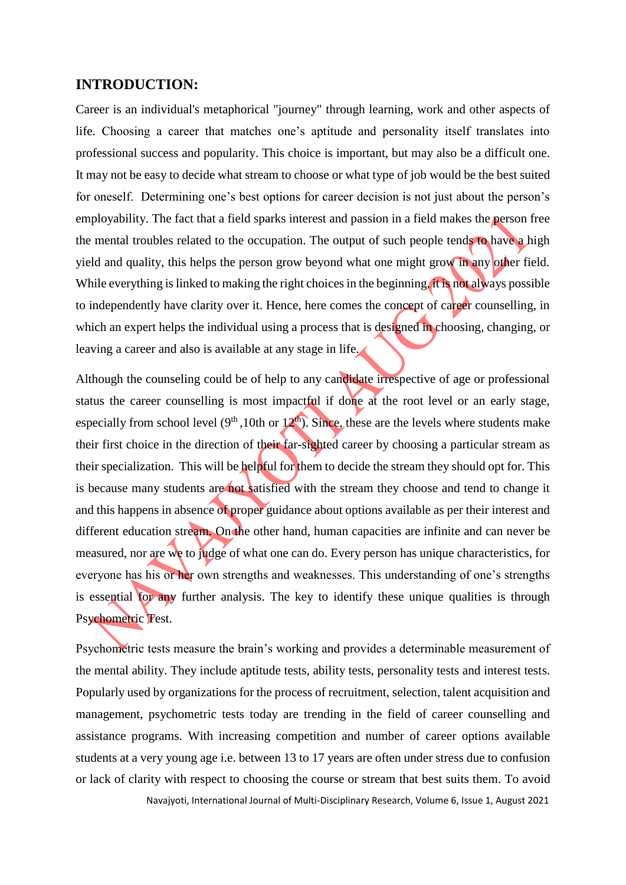#### **INTRODUCTION:**

Career is an individual's metaphorical "journey" through learning, work and other aspects of life. Choosing a career that matches one's aptitude and personality itself translates into professional success and popularity. This choice is important, but may also be a difficult one. It may not be easy to decide what stream to choose or what type of job would be the best suited for oneself. Determining one's best options for career decision is not just about the person's employability. The fact that a field sparks interest and passion in a field makes the person free the mental troubles related to the occupation. The output of such people tends to have a high yield and quality, this helps the person grow beyond what one might grow in any other field. While everything is linked to making the right choices in the beginning, it is not always possible to independently have clarity over it. Hence, here comes the concept of career counselling, in which an expert helps the individual using a process that is designed in choosing, changing, or leaving a career and also is available at any stage in life.

Although the counseling could be of help to any candidate irrespective of age or professional status the career counselling is most impactful if done at the root level or an early stage, especially from school level  $(9<sup>th</sup>, 10th$  or  $12<sup>th</sup>)$ . Since, these are the levels where students make their first choice in the direction of their far-sighted career by choosing a particular stream as their specialization. This will be helpful for them to decide the stream they should opt for. This is because many students are not satisfied with the stream they choose and tend to change it and this happens in absence of proper guidance about options available as per their interest and different education stream. On the other hand, human capacities are infinite and can never be measured, nor are we to judge of what one can do. Every person has unique characteristics, for everyone has his or her own strengths and weaknesses. This understanding of one's strengths is essential for any further analysis. The key to identify these unique qualities is through Psychometric Test.

Psychometric tests measure the brain's working and provides a determinable measurement of the mental ability. They include aptitude tests, ability tests, personality tests and interest tests. Popularly used by organizations for the process of recruitment, selection, talent acquisition and management, psychometric tests today are trending in the field of career counselling and assistance programs. With increasing competition and number of career options available students at a very young age i.e. between 13 to 17 years are often under stress due to confusion or lack of clarity with respect to choosing the course or stream that best suits them. To avoid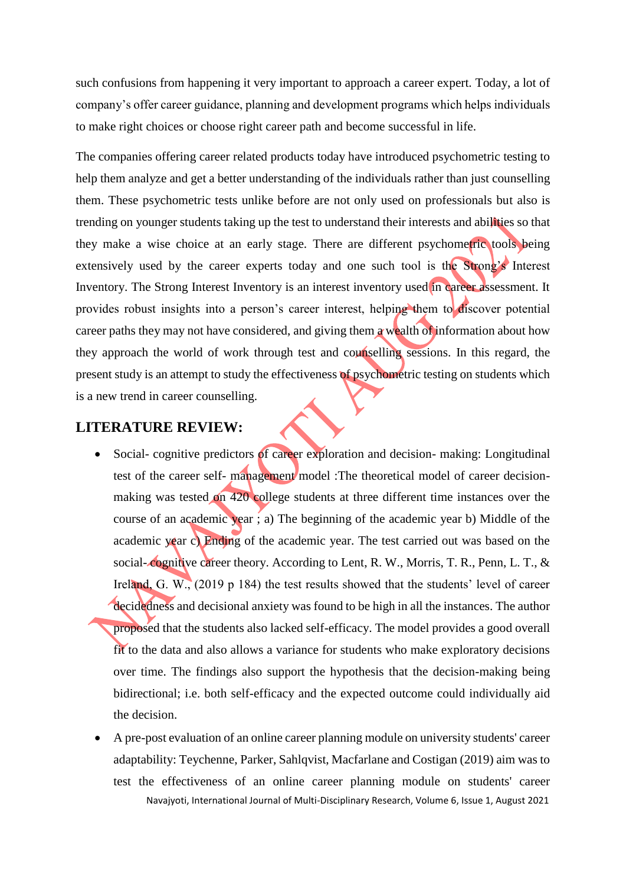such confusions from happening it very important to approach a career expert. Today, a lot of company's offer career guidance, planning and development programs which helps individuals to make right choices or choose right career path and become successful in life.

The companies offering career related products today have introduced psychometric testing to help them analyze and get a better understanding of the individuals rather than just counselling them. These psychometric tests unlike before are not only used on professionals but also is trending on younger students taking up the test to understand their interests and abilities so that they make a wise choice at an early stage. There are different psychometric tools being extensively used by the career experts today and one such tool is the Strong's Interest Inventory. The Strong Interest Inventory is an interest inventory used in career assessment. It provides robust insights into a person's career interest, helping them to discover potential career paths they may not have considered, and giving them a wealth of information about how they approach the world of work through test and counselling sessions. In this regard, the present study is an attempt to study the effectiveness of psychometric testing on students which is a new trend in career counselling.

#### **LITERATURE REVIEW:**

- Social- cognitive predictors of career exploration and decision- making: Longitudinal test of the career self- management model :The theoretical model of career decisionmaking was tested on 420 college students at three different time instances over the course of an academic year ; a) The beginning of the academic year b) Middle of the academic year c) Ending of the academic year. The test carried out was based on the social-cognitive career theory. According to Lent, R. W., Morris, T. R., Penn, L. T., & Ireland, G. W., (2019 p 184) the test results showed that the students' level of career decidedness and decisional anxiety was found to be high in all the instances. The author proposed that the students also lacked self-efficacy. The model provides a good overall fit to the data and also allows a variance for students who make exploratory decisions over time. The findings also support the hypothesis that the decision-making being bidirectional; i.e. both self-efficacy and the expected outcome could individually aid the decision.
- Navajyoti, International Journal of Multi-Disciplinary Research, Volume 6, Issue 1, August 2021 A pre-post evaluation of an online career planning module on university students' career adaptability: Teychenne, Parker, Sahlqvist, Macfarlane and Costigan (2019) aim was to test the effectiveness of an online career planning module on students' career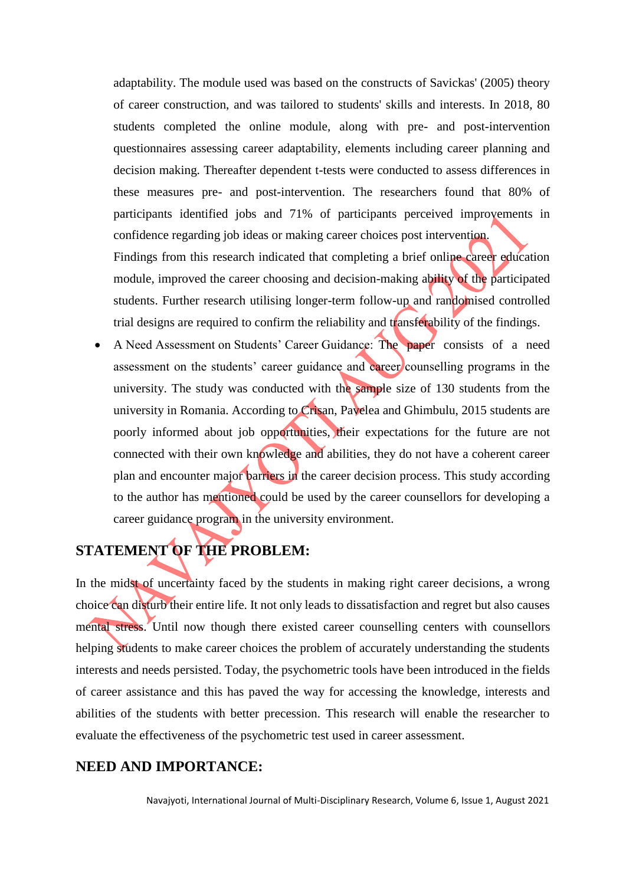adaptability. The module used was based on the constructs of Savickas' (2005) theory of career construction, and was tailored to students' skills and interests. In 2018, 80 students completed the online module, along with pre- and post-intervention questionnaires assessing career adaptability, elements including career planning and decision making. Thereafter dependent t-tests were conducted to assess differences in these measures pre- and post-intervention. The researchers found that 80% of participants identified jobs and 71% of participants perceived improvements in confidence regarding job ideas or making career choices post intervention.

Findings from this research indicated that completing a brief online career education module, improved the career choosing and decision-making ability of the participated students. Further research utilising longer-term follow-up and randomised controlled trial designs are required to confirm the reliability and transferability of the findings.

 A Need Assessment on Students' Career Guidance: The paper consists of a need assessment on the students' career guidance and career counselling programs in the university. The study was conducted with the sample size of 130 students from the university in Romania. According to Crisan, Pavelea and Ghimbulu, 2015 students are poorly informed about job opportunities, their expectations for the future are not connected with their own knowledge and abilities, they do not have a coherent career plan and encounter major barriers in the career decision process. This study according to the author has mentioned could be used by the career counsellors for developing a career guidance program in the university environment.

## **STATEMENT OF THE PROBLEM:**

In the midst of uncertainty faced by the students in making right career decisions, a wrong choice can disturb their entire life. It not only leads to dissatisfaction and regret but also causes mental stress. Until now though there existed career counselling centers with counsellors helping students to make career choices the problem of accurately understanding the students interests and needs persisted. Today, the psychometric tools have been introduced in the fields of career assistance and this has paved the way for accessing the knowledge, interests and abilities of the students with better precession. This research will enable the researcher to evaluate the effectiveness of the psychometric test used in career assessment.

## **NEED AND IMPORTANCE:**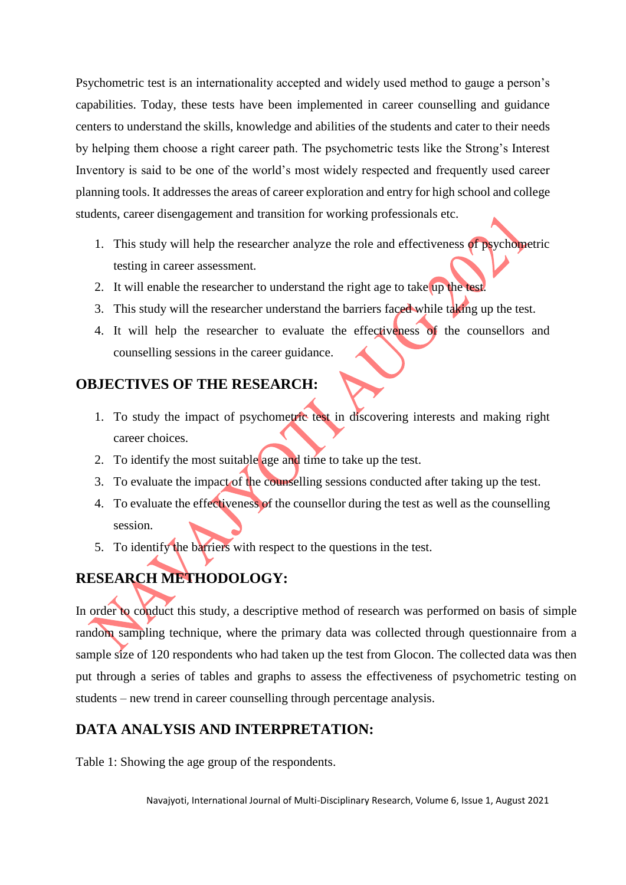Psychometric test is an internationality accepted and widely used method to gauge a person's capabilities. Today, these tests have been implemented in career counselling and guidance centers to understand the skills, knowledge and abilities of the students and cater to their needs by helping them choose a right career path. The psychometric tests like the Strong's Interest Inventory is said to be one of the world's most widely respected and frequently used career planning tools. It addresses the areas of career exploration and entry for high school and college students, career disengagement and transition for working professionals etc.

- 1. This study will help the researcher analyze the role and effectiveness of psychometric testing in career assessment.
- 2. It will enable the researcher to understand the right age to take up the test.
- 3. This study will the researcher understand the barriers faced while taking up the test.
- 4. It will help the researcher to evaluate the effectiveness of the counsellors and counselling sessions in the career guidance.

## **OBJECTIVES OF THE RESEARCH:**

- 1. To study the impact of psychometric test in discovering interests and making right career choices.
- 2. To identify the most suitable age and time to take up the test.
- 3. To evaluate the impact of the counselling sessions conducted after taking up the test.
- 4. To evaluate the effectiveness of the counsellor during the test as well as the counselling session.
- 5. To identify the barriers with respect to the questions in the test.

## **RESEARCH METHODOLOGY:**

In order to conduct this study, a descriptive method of research was performed on basis of simple random sampling technique, where the primary data was collected through questionnaire from a sample size of 120 respondents who had taken up the test from Glocon. The collected data was then put through a series of tables and graphs to assess the effectiveness of psychometric testing on students – new trend in career counselling through percentage analysis.

## **DATA ANALYSIS AND INTERPRETATION:**

Table 1: Showing the age group of the respondents.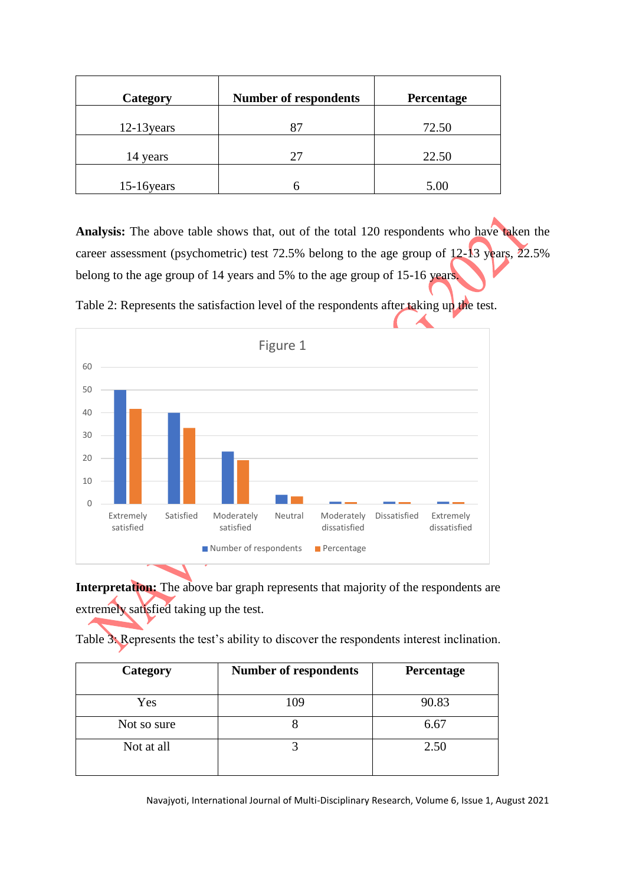| Category      | <b>Number of respondents</b> | Percentage |
|---------------|------------------------------|------------|
| $12-13$ years | 87                           | 72.50      |
| 14 years      | 27                           | 22.50      |
| 15-16 years   |                              | 5.00       |

**Analysis:** The above table shows that, out of the total 120 respondents who have taken the career assessment (psychometric) test 72.5% belong to the age group of 12-13 years, 22.5% belong to the age group of 14 years and 5% to the age group of 15-16 years.



Table 2: Represents the satisfaction level of the respondents after taking up the test.

**Interpretation:** The above bar graph represents that majority of the respondents are extremely satisfied taking up the test.

Table 3: Represents the test's ability to discover the respondents interest inclination.

| Category    | <b>Number of respondents</b> | Percentage |
|-------------|------------------------------|------------|
|             |                              |            |
| Yes         | 109                          | 90.83      |
| Not so sure |                              | 6.67       |
| Not at all  |                              | 2.50       |
|             |                              |            |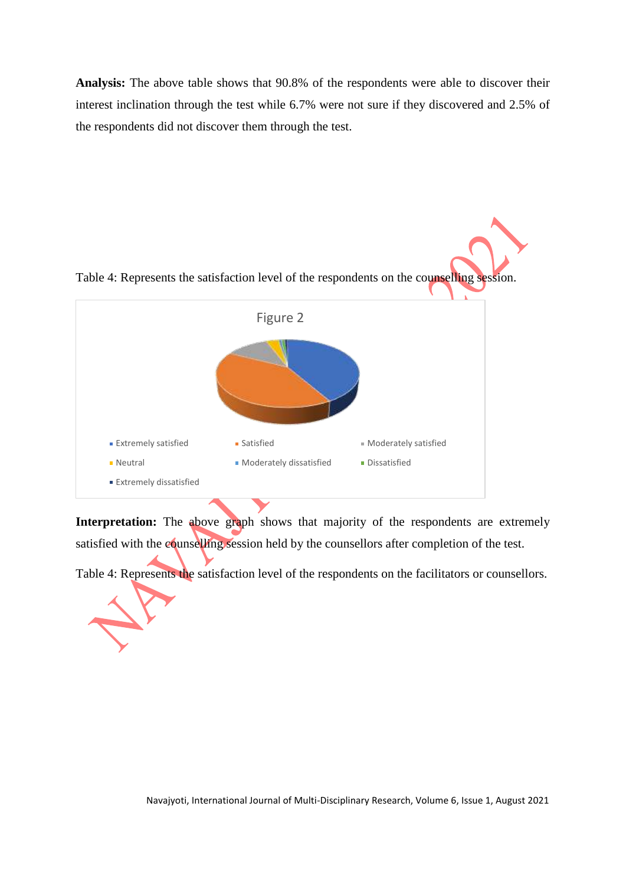**Analysis:** The above table shows that 90.8% of the respondents were able to discover their interest inclination through the test while 6.7% were not sure if they discovered and 2.5% of the respondents did not discover them through the test.



**Interpretation:** The above graph shows that majority of the respondents are extremely satisfied with the counselling session held by the counsellors after completion of the test.

Table 4: Represents the satisfaction level of the respondents on the facilitators or counsellors.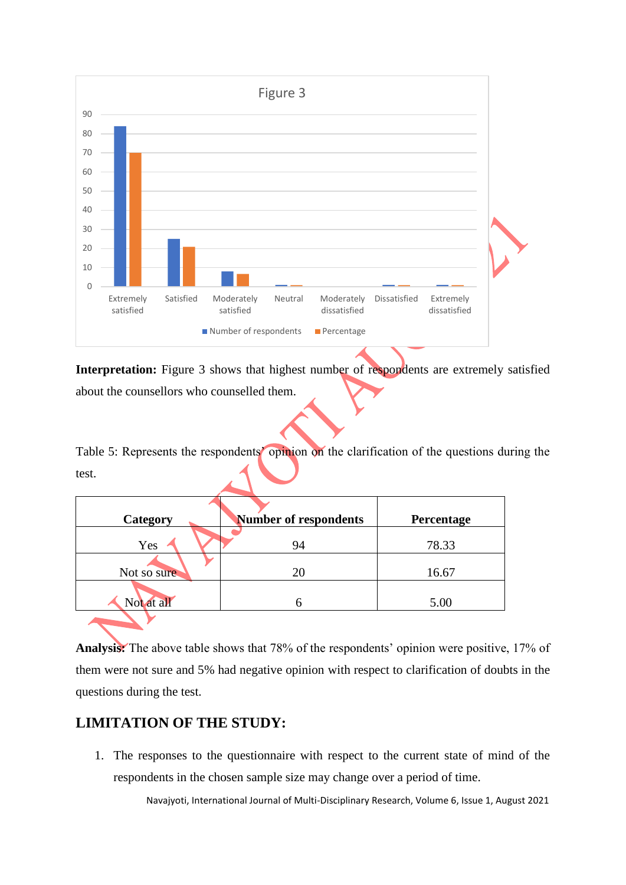

**Interpretation:** Figure 3 shows that highest number of respondents are extremely satisfied about the counsellors who counselled them.

Table 5: Represents the respondents' opinion on the clarification of the questions during the test.

| Category    | Number of respondents | Percentage |
|-------------|-----------------------|------------|
| Yes         | 94                    | 78.33      |
| Not so sure | 20                    | 16.67      |
| Not at all  |                       | 5.00       |
|             |                       |            |

**Analysis:** The above table shows that 78% of the respondents' opinion were positive, 17% of them were not sure and 5% had negative opinion with respect to clarification of doubts in the questions during the test.

## **LIMITATION OF THE STUDY:**

1. The responses to the questionnaire with respect to the current state of mind of the respondents in the chosen sample size may change over a period of time.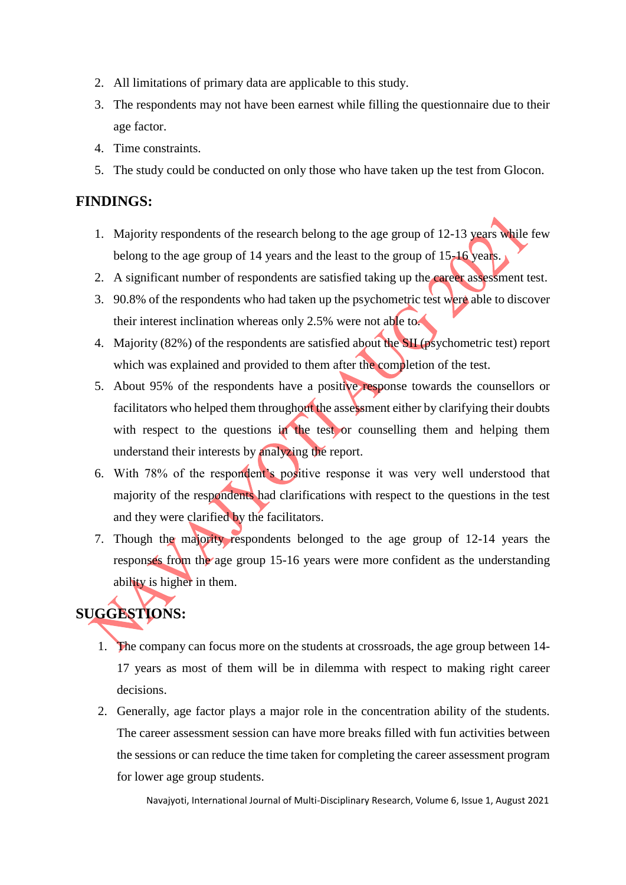- 2. All limitations of primary data are applicable to this study.
- 3. The respondents may not have been earnest while filling the questionnaire due to their age factor.
- 4. Time constraints.
- 5. The study could be conducted on only those who have taken up the test from Glocon.

### **FINDINGS:**

- 1. Majority respondents of the research belong to the age group of 12-13 years while few belong to the age group of 14 years and the least to the group of 15-16 years.
- 2. A significant number of respondents are satisfied taking up the career assessment test.
- 3. 90.8% of the respondents who had taken up the psychometric test were able to discover their interest inclination whereas only 2.5% were not able to.
- 4. Majority (82%) of the respondents are satisfied about the SII (psychometric test) report which was explained and provided to them after the completion of the test.
- 5. About 95% of the respondents have a positive response towards the counsellors or facilitators who helped them throughout the assessment either by clarifying their doubts with respect to the questions in the test or counselling them and helping them understand their interests by analyzing the report.
- 6. With 78% of the respondent's positive response it was very well understood that majority of the respondents had clarifications with respect to the questions in the test and they were clarified by the facilitators.
- 7. Though the majority respondents belonged to the age group of 12-14 years the responses from the age group 15-16 years were more confident as the understanding ability is higher in them.

# **SUGGESTIONS:**

- 1. The company can focus more on the students at crossroads, the age group between 14- 17 years as most of them will be in dilemma with respect to making right career decisions.
- 2. Generally, age factor plays a major role in the concentration ability of the students. The career assessment session can have more breaks filled with fun activities between the sessions or can reduce the time taken for completing the career assessment program for lower age group students.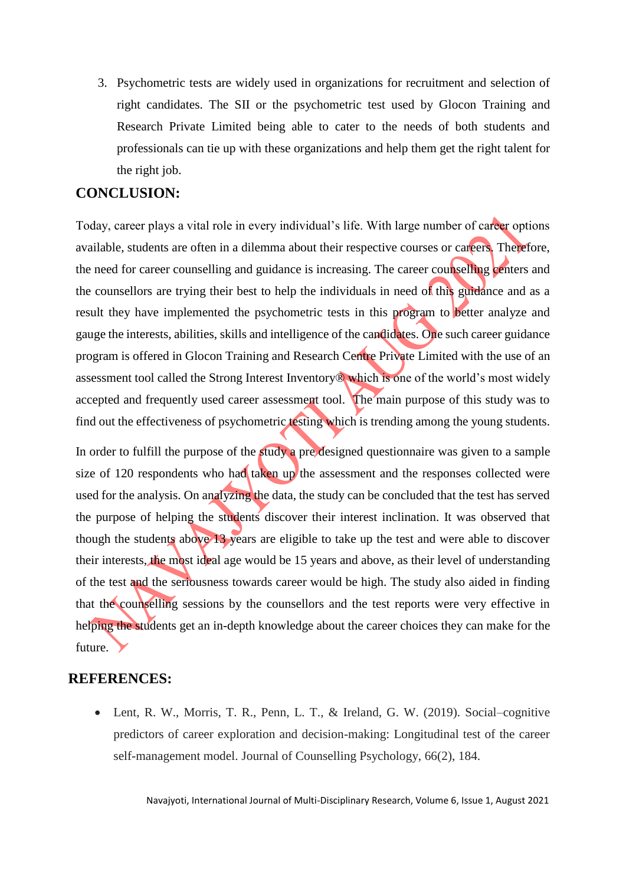3. Psychometric tests are widely used in organizations for recruitment and selection of right candidates. The SII or the psychometric test used by Glocon Training and Research Private Limited being able to cater to the needs of both students and professionals can tie up with these organizations and help them get the right talent for the right job.

#### **CONCLUSION:**

Today, career plays a vital role in every individual's life. With large number of career options available, students are often in a dilemma about their respective courses or careers. Therefore, the need for career counselling and guidance is increasing. The career counselling centers and the counsellors are trying their best to help the individuals in need of this guidance and as a result they have implemented the psychometric tests in this program to better analyze and gauge the interests, abilities, skills and intelligence of the candidates. One such career guidance program is offered in Glocon Training and Research Centre Private Limited with the use of an assessment tool called the Strong Interest Inventory® which is one of the world's most widely accepted and frequently used career assessment tool. The main purpose of this study was to find out the effectiveness of psychometric testing which is trending among the young students.

In order to fulfill the purpose of the study a pre designed questionnaire was given to a sample size of 120 respondents who had taken up the assessment and the responses collected were used for the analysis. On analyzing the data, the study can be concluded that the test has served the purpose of helping the students discover their interest inclination. It was observed that though the students above 13 years are eligible to take up the test and were able to discover their interests, the most ideal age would be 15 years and above, as their level of understanding of the test and the seriousness towards career would be high. The study also aided in finding that the counselling sessions by the counsellors and the test reports were very effective in helping the students get an in-depth knowledge about the career choices they can make for the future.

#### **REFERENCES:**

 Lent, R. W., Morris, T. R., Penn, L. T., & Ireland, G. W. (2019). Social–cognitive predictors of career exploration and decision-making: Longitudinal test of the career self-management model. Journal of Counselling Psychology, 66(2), 184.